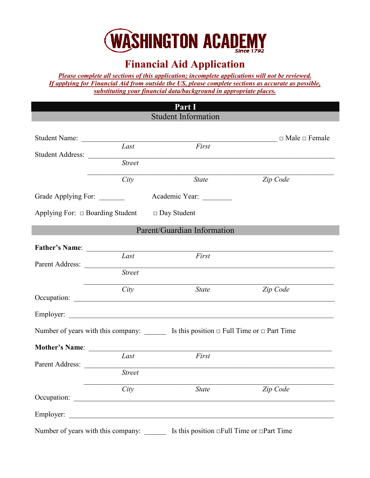

## **Financial Aid Application**

*Please complete all sections of this application; incomplete applications will not be reviewed. If applying for Financial Aid from outside the US, please complete sections as accurate as possible, substituting your financial data/background in appropriate places.* 

|                                    |                                                          | Part I                                                                                               |          |
|------------------------------------|----------------------------------------------------------|------------------------------------------------------------------------------------------------------|----------|
|                                    |                                                          | <b>Student Information</b>                                                                           |          |
|                                    | Student Name: The Student Student Name:                  |                                                                                                      |          |
| <b>Student Address:</b>            | Last<br><b>Street</b>                                    | First                                                                                                |          |
|                                    | City                                                     | <b>State</b>                                                                                         | Zip Code |
| Grade Applying For: _______        |                                                          | Academic Year:                                                                                       |          |
|                                    | Applying For: $\Box$ Boarding Student $\Box$ Day Student |                                                                                                      |          |
|                                    |                                                          | Parent/Guardian Information                                                                          |          |
| <b>Father's Name:</b>              |                                                          |                                                                                                      |          |
|                                    | Last                                                     | First                                                                                                |          |
|                                    | <b>Street</b>                                            |                                                                                                      |          |
|                                    | City                                                     | <b>State</b>                                                                                         | Zip Code |
|                                    |                                                          |                                                                                                      |          |
|                                    |                                                          | Number of years with this company: $\_\_\_\_\_\$ Is this position $\_\$ Full Time or $\_\$ Part Time |          |
| <b>Mother's Name:</b>              |                                                          |                                                                                                      |          |
| Parent Address:                    | Last                                                     | First                                                                                                |          |
|                                    | <b>Street</b>                                            |                                                                                                      |          |
|                                    | City                                                     | <b>State</b>                                                                                         | Zip Code |
|                                    |                                                          |                                                                                                      |          |
| Number of years with this company: |                                                          | Is this position $\Box$ Full Time or $\Box$ Part Time                                                |          |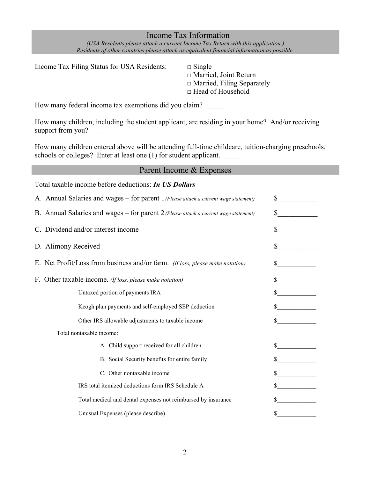## Income Tax Information

*(USA Residents please attach a current Income Tax Return with this application.) Residents of other countries please attach as equivalent financial information as possible.*

Income Tax Filing Status for USA Residents:  $\Box$  Single

□ Married, Joint Return □ Married, Filing Separately □ Head of Household

How many federal income tax exemptions did you claim?

How many children, including the student applicant, are residing in your home? And/or receiving support from you?

How many children entered above will be attending full-time childcare, tuition-charging preschools, schools or colleges? Enter at least one (1) for student applicant.

| Parent Income & Expenses                                                             |              |
|--------------------------------------------------------------------------------------|--------------|
| Total taxable income before deductions: In US Dollars                                |              |
| A. Annual Salaries and wages - for parent 1 (Please attach a current wage statement) | $\mathbb{S}$ |
| B. Annual Salaries and wages - for parent 2 (Please attach a current wage statement) | \$           |
| C. Dividend and/or interest income                                                   |              |
| D. Alimony Received                                                                  |              |
| E. Net Profit/Loss from business and/or farm. (If loss, please make notation)        | S            |
| F. Other taxable income. (If loss, please make notation)                             |              |
| Untaxed portion of payments IRA                                                      |              |
| Keogh plan payments and self-employed SEP deduction                                  |              |
| Other IRS allowable adjustments to taxable income                                    |              |
| Total nontaxable income:                                                             |              |
| A. Child support received for all children                                           |              |
| B. Social Security benefits for entire family                                        |              |
| C. Other nontaxable income                                                           |              |
| IRS total itemized deductions form IRS Schedule A                                    |              |
| Total medical and dental expenses not reimbursed by insurance                        |              |
| Unusual Expenses (please describe)                                                   | \$           |
|                                                                                      |              |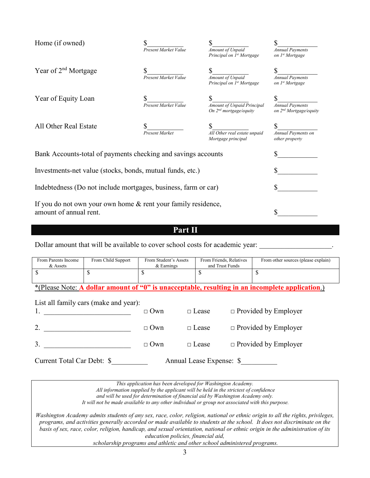| Home (if owned)                                                                         | Present Market Value        | Amount of Unpaid<br>Principal on 1 <sup>st</sup> Mortgage        | <b>Annual Payments</b><br>on 1 <sup>st</sup> Mortgage        |
|-----------------------------------------------------------------------------------------|-----------------------------|------------------------------------------------------------------|--------------------------------------------------------------|
| Year of $2nd$ Mortgage                                                                  | Present Market Value        | \$<br>Amount of Unpaid<br>Principal on 1 <sup>st</sup> Mortgage  | <b>Annual Payments</b><br>on 1 <sup>st</sup> Mortgage        |
| Year of Equity Loan                                                                     | <b>Present Market Value</b> | <b>Amount of Unpaid Principal</b><br>On $2^{nd}$ mortgage/equity | <b>Annual Payments</b><br>on 2 <sup>nd</sup> Mortgage/equity |
| All Other Real Estate                                                                   | <b>Present Market</b>       | All Other real estate unpaid<br>Mortgage principal               | <b>Annual Payments on</b><br>other property                  |
| Bank Accounts-total of payments checking and savings accounts                           | S                           |                                                                  |                                                              |
| Investments-net value (stocks, bonds, mutual funds, etc.)                               |                             |                                                                  |                                                              |
| Indebtedness (Do not include mortgages, business, farm or car)                          | \$                          |                                                                  |                                                              |
| If you do not own your own home & rent your family residence,<br>amount of annual rent. |                             |                                                                  |                                                              |

**Part II**

Dollar amount that will be available to cover school costs for academic year:

| From Parents Income<br>& Assets                                                                 | From Child Support                    |            | From Friends, Relatives<br>From Student's Assets<br>and Trust Funds |                             | From other sources (please explain) |  |
|-------------------------------------------------------------------------------------------------|---------------------------------------|------------|---------------------------------------------------------------------|-----------------------------|-------------------------------------|--|
| \$                                                                                              | S                                     | \$         | S                                                                   |                             | S                                   |  |
| *(Please Note: A dollar amount of "0" is unacceptable, resulting in an incomplete application.) |                                       |            |                                                                     |                             |                                     |  |
|                                                                                                 | List all family cars (make and year): | $\Box$ Own | $\Box$ Lease                                                        |                             | $\Box$ Provided by Employer         |  |
|                                                                                                 |                                       |            |                                                                     |                             |                                     |  |
| 2.                                                                                              |                                       | $\Box$ Own | $\Box$ Lease                                                        | $\Box$ Provided by Employer |                                     |  |
|                                                                                                 |                                       | $\Box$ Own | $\Box$ Lease                                                        |                             | $\Box$ Provided by Employer         |  |
| Current Total Car Debt: \$                                                                      |                                       |            | Annual Lease Expense: \$                                            |                             |                                     |  |

*This application has been developed for Washington Academy.* 

*All information supplied by the applicant will be held in the strictest of confidence* 

*and will be used for determination of financial aid by Washington Academy only.* 

*It will not be made available to any other individual or group not associated with this purpose.*

*Washington Academy admits students of any sex, race, color, religion, national or ethnic origin to all the rights, privileges, programs, and activities generally accorded or made available to students at the school. It does not discriminate on the basis of sex, race, color, religion, handicap, and sexual orientation, national or ethnic origin in the administration of its education policies, financial aid,* 

*scholarship programs and athletic and other school administered programs.*